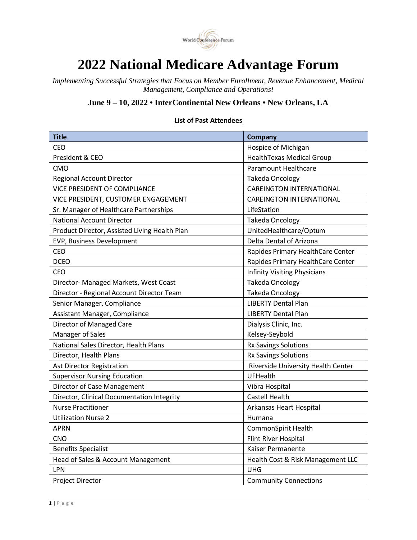

## **2022 National Medicare Advantage Forum**

*Implementing Successful Strategies that Focus on Member Enrollment, Revenue Enhancement, Medical Management, Compliance and Operations!*

## **June 9 – 10, 2022 • InterContinental New Orleans • New Orleans, LA**

## **List of Past Attendees**

| <b>Title</b>                                  | Company                             |
|-----------------------------------------------|-------------------------------------|
| CEO                                           | Hospice of Michigan                 |
| President & CEO                               | <b>HealthTexas Medical Group</b>    |
| CMO                                           | Paramount Healthcare                |
| <b>Regional Account Director</b>              | <b>Takeda Oncology</b>              |
| <b>VICE PRESIDENT OF COMPLIANCE</b>           | <b>CAREINGTON INTERNATIONAL</b>     |
| VICE PRESIDENT, CUSTOMER ENGAGEMENT           | <b>CAREINGTON INTERNATIONAL</b>     |
| Sr. Manager of Healthcare Partnerships        | LifeStation                         |
| <b>National Account Director</b>              | <b>Takeda Oncology</b>              |
| Product Director, Assisted Living Health Plan | UnitedHealthcare/Optum              |
| EVP, Business Development                     | Delta Dental of Arizona             |
| <b>CEO</b>                                    | Rapides Primary HealthCare Center   |
| <b>DCEO</b>                                   | Rapides Primary HealthCare Center   |
| <b>CEO</b>                                    | <b>Infinity Visiting Physicians</b> |
| Director- Managed Markets, West Coast         | <b>Takeda Oncology</b>              |
| Director - Regional Account Director Team     | <b>Takeda Oncology</b>              |
| Senior Manager, Compliance                    | <b>LIBERTY Dental Plan</b>          |
| Assistant Manager, Compliance                 | <b>LIBERTY Dental Plan</b>          |
| Director of Managed Care                      | Dialysis Clinic, Inc.               |
| Manager of Sales                              | Kelsey-Seybold                      |
| National Sales Director, Health Plans         | Rx Savings Solutions                |
| Director, Health Plans                        | Rx Savings Solutions                |
| <b>Ast Director Registration</b>              | Riverside University Health Center  |
| <b>Supervisor Nursing Education</b>           | <b>UFHealth</b>                     |
| Director of Case Management                   | Vibra Hospital                      |
| Director, Clinical Documentation Integrity    | Castell Health                      |
| <b>Nurse Practitioner</b>                     | Arkansas Heart Hospital             |
| <b>Utilization Nurse 2</b>                    | Humana                              |
| <b>APRN</b>                                   | CommonSpirit Health                 |
| <b>CNO</b>                                    | Flint River Hospital                |
| <b>Benefits Specialist</b>                    | Kaiser Permanente                   |
| Head of Sales & Account Management            | Health Cost & Risk Management LLC   |
| LPN                                           | <b>UHG</b>                          |
| Project Director                              | <b>Community Connections</b>        |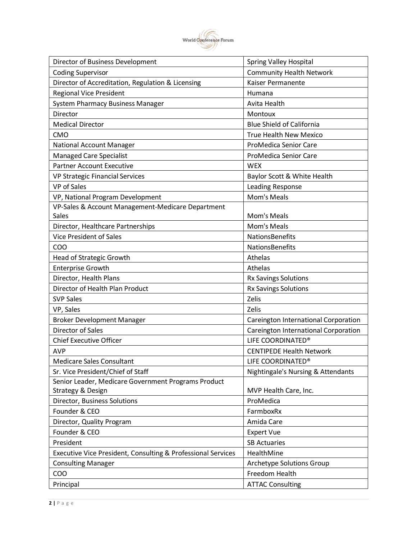

| Director of Business Development                             | <b>Spring Valley Hospital</b>        |
|--------------------------------------------------------------|--------------------------------------|
| <b>Coding Supervisor</b>                                     | <b>Community Health Network</b>      |
| Director of Accreditation, Regulation & Licensing            | <b>Kaiser Permanente</b>             |
| <b>Regional Vice President</b>                               | Humana                               |
| <b>System Pharmacy Business Manager</b>                      | Avita Health                         |
| Director                                                     | Montoux                              |
| <b>Medical Director</b>                                      | <b>Blue Shield of California</b>     |
| <b>CMO</b>                                                   | <b>True Health New Mexico</b>        |
| National Account Manager                                     | ProMedica Senior Care                |
| <b>Managed Care Specialist</b>                               | ProMedica Senior Care                |
| <b>Partner Account Executive</b>                             | <b>WEX</b>                           |
| VP Strategic Financial Services                              | Baylor Scott & White Health          |
| <b>VP</b> of Sales                                           | Leading Response                     |
| VP, National Program Development                             | <b>Mom's Meals</b>                   |
| VP-Sales & Account Management-Medicare Department            |                                      |
| <b>Sales</b>                                                 | Mom's Meals                          |
| Director, Healthcare Partnerships                            | Mom's Meals                          |
| <b>Vice President of Sales</b>                               | NationsBenefits                      |
| COO                                                          | NationsBenefits                      |
| Head of Strategic Growth                                     | Athelas                              |
| <b>Enterprise Growth</b>                                     | Athelas                              |
| Director, Health Plans                                       | Rx Savings Solutions                 |
| Director of Health Plan Product                              | Rx Savings Solutions                 |
| <b>SVP Sales</b>                                             | Zelis                                |
| VP, Sales                                                    | Zelis                                |
| <b>Broker Development Manager</b>                            | Careington International Corporation |
| <b>Director of Sales</b>                                     | Careington International Corporation |
| <b>Chief Executive Officer</b>                               | LIFE COORDINATED®                    |
| <b>AVP</b>                                                   | <b>CENTIPEDE Health Network</b>      |
| <b>Medicare Sales Consultant</b>                             | LIFE COORDINATED®                    |
| Sr. Vice President/Chief of Staff                            | Nightingale's Nursing & Attendants   |
| Senior Leader, Medicare Government Programs Product          |                                      |
| Strategy & Design                                            | MVP Health Care, Inc.                |
| Director, Business Solutions                                 | ProMedica                            |
| Founder & CEO                                                | FarmboxRx                            |
| Director, Quality Program                                    | Amida Care                           |
| Founder & CEO                                                | <b>Expert Vue</b>                    |
| President                                                    | <b>SB Actuaries</b>                  |
| Executive Vice President, Consulting & Professional Services | HealthMine                           |
| <b>Consulting Manager</b>                                    | Archetype Solutions Group            |
| COO                                                          | Freedom Health                       |
| Principal                                                    | <b>ATTAC Consulting</b>              |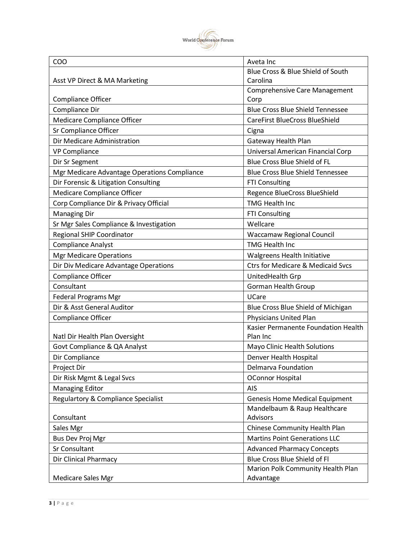

| COO                                          | Aveta Inc                                      |
|----------------------------------------------|------------------------------------------------|
|                                              | Blue Cross & Blue Shield of South              |
| Asst VP Direct & MA Marketing                | Carolina                                       |
|                                              | <b>Comprehensive Care Management</b>           |
| Compliance Officer                           | Corp                                           |
| Compliance Dir                               | <b>Blue Cross Blue Shield Tennessee</b>        |
| Medicare Compliance Officer                  | <b>CareFirst BlueCross BlueShield</b>          |
| Sr Compliance Officer                        | Cigna                                          |
| Dir Medicare Administration                  | Gateway Health Plan                            |
| <b>VP Compliance</b>                         | Universal American Financial Corp              |
| Dir Sr Segment                               | Blue Cross Blue Shield of FL                   |
| Mgr Medicare Advantage Operations Compliance | <b>Blue Cross Blue Shield Tennessee</b>        |
| Dir Forensic & Litigation Consulting         | <b>FTI Consulting</b>                          |
| Medicare Compliance Officer                  | Regence BlueCross BlueShield                   |
| Corp Compliance Dir & Privacy Official       | <b>TMG Health Inc.</b>                         |
| <b>Managing Dir</b>                          | <b>FTI Consulting</b>                          |
| Sr Mgr Sales Compliance & Investigation      | Wellcare                                       |
| Regional SHIP Coordinator                    | Waccamaw Regional Council                      |
| <b>Compliance Analyst</b>                    | <b>TMG Health Inc</b>                          |
| <b>Mgr Medicare Operations</b>               | Walgreens Health Initiative                    |
| Dir Div Medicare Advantage Operations        | <b>Ctrs for Medicare &amp; Medicaid Svcs</b>   |
| Compliance Officer                           | UnitedHealth Grp                               |
| Consultant                                   | <b>Gorman Health Group</b>                     |
| <b>Federal Programs Mgr</b>                  | UCare                                          |
| Dir & Asst General Auditor                   | Blue Cross Blue Shield of Michigan             |
| <b>Compliance Officer</b>                    | Physicians United Plan                         |
|                                              | Kasier Permanente Foundation Health            |
| Natl Dir Health Plan Oversight               | Plan Inc                                       |
| Govt Compliance & QA Analyst                 | Mayo Clinic Health Solutions                   |
| Dir Compliance                               | Denver Health Hospital                         |
| Project Dir                                  | Delmarva Foundation                            |
| Dir Risk Mgmt & Legal Svcs                   | <b>OConnor Hospital</b>                        |
| <b>Managing Editor</b>                       | <b>AIS</b>                                     |
| Regulartory & Compliance Specialist          | <b>Genesis Home Medical Equipment</b>          |
|                                              | Mandelbaum & Raup Healthcare                   |
| Consultant                                   | Advisors                                       |
| Sales Mgr                                    | Chinese Community Health Plan                  |
| Bus Dev Proj Mgr                             | <b>Martins Point Generations LLC</b>           |
| Sr Consultant                                | <b>Advanced Pharmacy Concepts</b>              |
| Dir Clinical Pharmacy                        | Blue Cross Blue Shield of Fl                   |
| Medicare Sales Mgr                           | Marion Polk Community Health Plan<br>Advantage |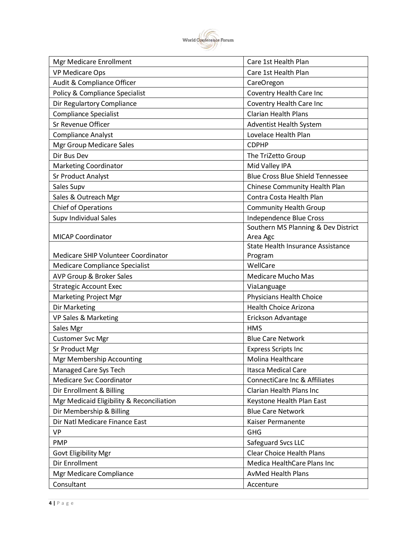

| <b>Mgr Medicare Enrollment</b>            | Care 1st Health Plan                     |
|-------------------------------------------|------------------------------------------|
| <b>VP Medicare Ops</b>                    | Care 1st Health Plan                     |
| Audit & Compliance Officer                | CareOregon                               |
| Policy & Compliance Specialist            | Coventry Health Care Inc                 |
| Dir Regulartory Compliance                | Coventry Health Care Inc                 |
| <b>Compliance Specialist</b>              | <b>Clarian Health Plans</b>              |
| Sr Revenue Officer                        | Adventist Health System                  |
| <b>Compliance Analyst</b>                 | Lovelace Health Plan                     |
| Mgr Group Medicare Sales                  | <b>CDPHP</b>                             |
| Dir Bus Dev                               | The TriZetto Group                       |
| Marketing Coordinator                     | Mid Valley IPA                           |
| Sr Product Analyst                        | <b>Blue Cross Blue Shield Tennessee</b>  |
| Sales Supv                                | Chinese Community Health Plan            |
| Sales & Outreach Mgr                      | Contra Costa Health Plan                 |
| <b>Chief of Operations</b>                | <b>Community Health Group</b>            |
| Supv Individual Sales                     | Independence Blue Cross                  |
|                                           | Southern MS Planning & Dev District      |
| <b>MICAP Coordinator</b>                  | Area Agc                                 |
|                                           | State Health Insurance Assistance        |
| Medicare SHIP Volunteer Coordinator       | Program                                  |
| Medicare Compliance Specialist            | WellCare                                 |
| AVP Group & Broker Sales                  | <b>Medicare Mucho Mas</b>                |
| <b>Strategic Account Exec</b>             | ViaLanguage                              |
| Marketing Project Mgr                     | Physicians Health Choice                 |
| Dir Marketing                             | <b>Health Choice Arizona</b>             |
| VP Sales & Marketing                      | Erickson Advantage                       |
| Sales Mgr                                 | <b>HMS</b>                               |
| <b>Customer Svc Mgr</b>                   | <b>Blue Care Network</b>                 |
| Sr Product Mgr                            | <b>Express Scripts Inc</b>               |
| Mgr Membership Accounting                 | Molina Healthcare                        |
| Managed Care Sys Tech                     | Itasca Medical Care                      |
| <b>Medicare Svc Coordinator</b>           | <b>ConnectiCare Inc &amp; Affiliates</b> |
| Dir Enrollment & Billing                  | <b>Clarian Health Plans Inc</b>          |
| Mgr Medicaid Eligibility & Reconciliation | Keystone Health Plan East                |
| Dir Membership & Billing                  | <b>Blue Care Network</b>                 |
| Dir Natl Medicare Finance East            | Kaiser Permanente                        |
| <b>VP</b>                                 | <b>GHG</b>                               |
| <b>PMP</b>                                | Safeguard Svcs LLC                       |
| Govt Eligibility Mgr                      | <b>Clear Choice Health Plans</b>         |
| Dir Enrollment                            | Medica HealthCare Plans Inc              |
| Mgr Medicare Compliance                   | <b>AvMed Health Plans</b>                |
| Consultant                                | Accenture                                |
|                                           |                                          |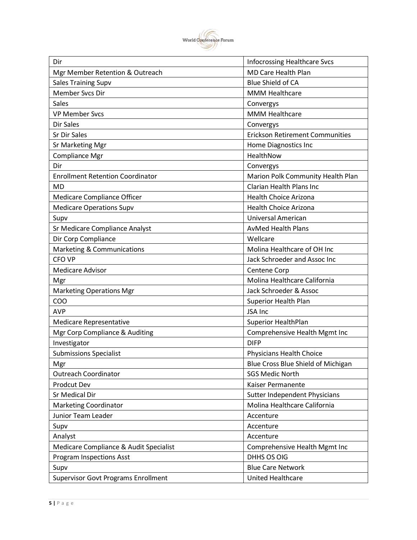

| Dir                                        | <b>Infocrossing Healthcare Svcs</b>    |
|--------------------------------------------|----------------------------------------|
| Mgr Member Retention & Outreach            | <b>MD Care Health Plan</b>             |
| <b>Sales Training Supv</b>                 | <b>Blue Shield of CA</b>               |
| Member Svcs Dir                            | <b>MMM Healthcare</b>                  |
| <b>Sales</b>                               | Convergys                              |
| <b>VP Member Svcs</b>                      | <b>MMM Healthcare</b>                  |
| Dir Sales                                  | Convergys                              |
| Sr Dir Sales                               | <b>Erickson Retirement Communities</b> |
| Sr Marketing Mgr                           | Home Diagnostics Inc                   |
| Compliance Mgr                             | HealthNow                              |
| Dir                                        | Convergys                              |
| <b>Enrollment Retention Coordinator</b>    | Marion Polk Community Health Plan      |
| <b>MD</b>                                  | <b>Clarian Health Plans Inc</b>        |
| Medicare Compliance Officer                | Health Choice Arizona                  |
| <b>Medicare Operations Supv</b>            | <b>Health Choice Arizona</b>           |
| Supv                                       | Universal American                     |
| Sr Medicare Compliance Analyst             | <b>AvMed Health Plans</b>              |
| Dir Corp Compliance                        | Wellcare                               |
| Marketing & Communications                 | Molina Healthcare of OH Inc            |
| <b>CFO VP</b>                              | Jack Schroeder and Assoc Inc           |
| <b>Medicare Advisor</b>                    | Centene Corp                           |
| Mgr                                        | Molina Healthcare California           |
| <b>Marketing Operations Mgr</b>            | Jack Schroeder & Assoc                 |
| COO                                        | Superior Health Plan                   |
| <b>AVP</b>                                 | JSA Inc                                |
| Medicare Representative                    | <b>Superior HealthPlan</b>             |
| Mgr Corp Compliance & Auditing             | Comprehensive Health Mgmt Inc          |
| Investigator                               | <b>DIFP</b>                            |
| <b>Submissions Specialist</b>              | Physicians Health Choice               |
| Mgr                                        | Blue Cross Blue Shield of Michigan     |
| <b>Outreach Coordinator</b>                | <b>SGS Medic North</b>                 |
| Prodcut Dev                                | Kaiser Permanente                      |
| Sr Medical Dir                             | Sutter Independent Physicians          |
| <b>Marketing Coordinator</b>               | Molina Healthcare California           |
| Junior Team Leader                         | Accenture                              |
| Supv                                       | Accenture                              |
| Analyst                                    | Accenture                              |
| Medicare Compliance & Audit Specialist     | Comprehensive Health Mgmt Inc          |
| <b>Program Inspections Asst</b>            | DHHS OS OIG                            |
| Supv                                       | <b>Blue Care Network</b>               |
| <b>Supervisor Govt Programs Enrollment</b> | United Healthcare                      |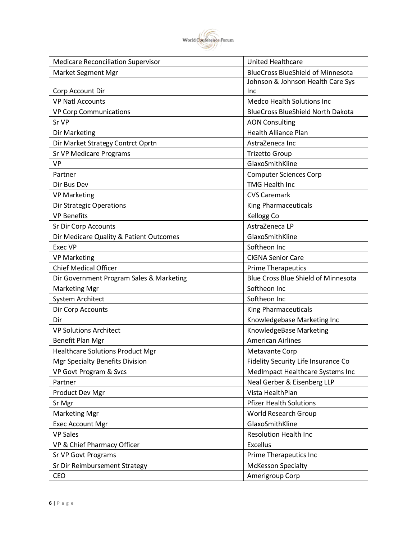

| <b>Medicare Reconciliation Supervisor</b> | <b>United Healthcare</b>                   |
|-------------------------------------------|--------------------------------------------|
| <b>Market Segment Mgr</b>                 | <b>BlueCross BlueShield of Minnesota</b>   |
|                                           | Johnson & Johnson Health Care Sys          |
| Corp Account Dir                          | <b>Inc</b>                                 |
| <b>VP Natl Accounts</b>                   | <b>Medco Health Solutions Inc</b>          |
| <b>VP Corp Communications</b>             | <b>BlueCross BlueShield North Dakota</b>   |
| Sr VP                                     | <b>AON Consulting</b>                      |
| <b>Dir Marketing</b>                      | <b>Health Alliance Plan</b>                |
| Dir Market Strategy Contrct Oprtn         | AstraZeneca Inc                            |
| Sr VP Medicare Programs                   | <b>Trizetto Group</b>                      |
| <b>VP</b>                                 | GlaxoSmithKline                            |
| Partner                                   | <b>Computer Sciences Corp</b>              |
| Dir Bus Dev                               | TMG Health Inc                             |
| <b>VP Marketing</b>                       | <b>CVS Caremark</b>                        |
| <b>Dir Strategic Operations</b>           | <b>King Pharmaceuticals</b>                |
| <b>VP Benefits</b>                        | <b>Kellogg Co</b>                          |
| Sr Dir Corp Accounts                      | AstraZeneca LP                             |
| Dir Medicare Quality & Patient Outcomes   | GlaxoSmithKline                            |
| Exec VP                                   | Softheon Inc                               |
| <b>VP Marketing</b>                       | <b>CIGNA Senior Care</b>                   |
| <b>Chief Medical Officer</b>              | <b>Prime Therapeutics</b>                  |
| Dir Government Program Sales & Marketing  | <b>Blue Cross Blue Shield of Minnesota</b> |
| <b>Marketing Mgr</b>                      | Softheon Inc                               |
| System Architect                          | Softheon Inc                               |
| Dir Corp Accounts                         | King Pharmaceuticals                       |
| Dir                                       | Knowledgebase Marketing Inc                |
| <b>VP Solutions Architect</b>             | KnowledgeBase Marketing                    |
| Benefit Plan Mgr                          | <b>American Airlines</b>                   |
| <b>Healthcare Solutions Product Mgr</b>   | Metavante Corp                             |
| Mgr Specialty Benefits Division           | Fidelity Security Life Insurance Co        |
| VP Govt Program & Svcs                    | MedImpact Healthcare Systems Inc           |
| Partner                                   | Neal Gerber & Eisenberg LLP                |
| Product Dev Mgr                           | Vista HealthPlan                           |
| Sr Mgr                                    | <b>Pfizer Health Solutions</b>             |
| <b>Marketing Mgr</b>                      | World Research Group                       |
| <b>Exec Account Mgr</b>                   | GlaxoSmithKline                            |
| <b>VP Sales</b>                           | <b>Resolution Health Inc</b>               |
| VP & Chief Pharmacy Officer               | <b>Excellus</b>                            |
| Sr VP Govt Programs                       | Prime Therapeutics Inc                     |
| Sr Dir Reimbursement Strategy             | <b>McKesson Specialty</b>                  |
| CEO                                       | Amerigroup Corp                            |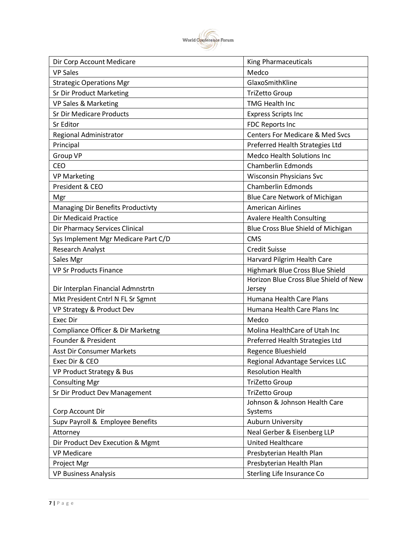

| Dir Corp Account Medicare           | King Pharmaceuticals                       |
|-------------------------------------|--------------------------------------------|
| <b>VP Sales</b>                     | Medco                                      |
| <b>Strategic Operations Mgr</b>     | GlaxoSmithKline                            |
| Sr Dir Product Marketing            | <b>TriZetto Group</b>                      |
| VP Sales & Marketing                | <b>TMG Health Inc</b>                      |
| <b>Sr Dir Medicare Products</b>     | <b>Express Scripts Inc</b>                 |
| Sr Editor                           | <b>FDC Reports Inc</b>                     |
| Regional Administrator              | <b>Centers For Medicare &amp; Med Svcs</b> |
| Principal                           | Preferred Health Strategies Ltd            |
| <b>Group VP</b>                     | <b>Medco Health Solutions Inc</b>          |
| <b>CEO</b>                          | <b>Chamberlin Edmonds</b>                  |
| <b>VP Marketing</b>                 | <b>Wisconsin Physicians Svc</b>            |
| President & CEO                     | <b>Chamberlin Edmonds</b>                  |
| Mgr                                 | Blue Care Network of Michigan              |
| Managing Dir Benefits Productivty   | <b>American Airlines</b>                   |
| <b>Dir Medicaid Practice</b>        | <b>Avalere Health Consulting</b>           |
| Dir Pharmacy Services Clinical      | Blue Cross Blue Shield of Michigan         |
| Sys Implement Mgr Medicare Part C/D | <b>CMS</b>                                 |
| <b>Research Analyst</b>             | <b>Credit Suisse</b>                       |
| Sales Mgr                           | Harvard Pilgrim Health Care                |
| <b>VP Sr Products Finance</b>       | Highmark Blue Cross Blue Shield            |
|                                     | Horizon Blue Cross Blue Shield of New      |
| Dir Interplan Financial Admnstrtn   | Jersey                                     |
| Mkt President Cntrl N FL Sr Sgmnt   | Humana Health Care Plans                   |
| VP Strategy & Product Dev           | Humana Health Care Plans Inc               |
| <b>Exec Dir</b>                     | Medco                                      |
| Compliance Officer & Dir Marketng   | Molina HealthCare of Utah Inc              |
| Founder & President                 | Preferred Health Strategies Ltd            |
| <b>Asst Dir Consumer Markets</b>    | Regence Blueshield                         |
| Exec Dir & CEO                      | Regional Advantage Services LLC            |
| VP Product Strategy & Bus           | <b>Resolution Health</b>                   |
| <b>Consulting Mgr</b>               | <b>TriZetto Group</b>                      |
| Sr Dir Product Dev Management       | <b>TriZetto Group</b>                      |
|                                     | Johnson & Johnson Health Care              |
| Corp Account Dir                    | Systems                                    |
| Supv Payroll & Employee Benefits    | <b>Auburn University</b>                   |
| Attorney                            | Neal Gerber & Eisenberg LLP                |
| Dir Product Dev Execution & Mgmt    | <b>United Healthcare</b>                   |
| <b>VP Medicare</b>                  | Presbyterian Health Plan                   |
| Project Mgr                         | Presbyterian Health Plan                   |
| <b>VP Business Analysis</b>         | Sterling Life Insurance Co                 |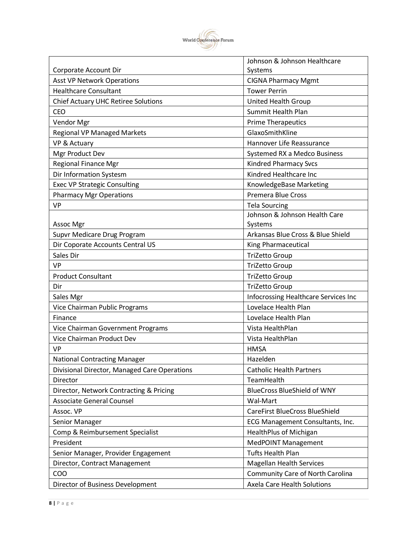

|                                              | Johnson & Johnson Healthcare            |
|----------------------------------------------|-----------------------------------------|
| Corporate Account Dir                        | Systems                                 |
| <b>Asst VP Network Operations</b>            | <b>CIGNA Pharmacy Mgmt</b>              |
| <b>Healthcare Consultant</b>                 | <b>Tower Perrin</b>                     |
| <b>Chief Actuary UHC Retiree Solutions</b>   | United Health Group                     |
| CEO                                          | Summit Health Plan                      |
| Vendor Mgr                                   | <b>Prime Therapeutics</b>               |
| <b>Regional VP Managed Markets</b>           | GlaxoSmithKline                         |
| VP & Actuary                                 | Hannover Life Reassurance               |
| Mgr Product Dev                              | Systemed RX a Medco Business            |
| <b>Regional Finance Mgr</b>                  | <b>Kindred Pharmacy Svcs</b>            |
| Dir Information Systesm                      | Kindred Healthcare Inc                  |
| <b>Exec VP Strategic Consulting</b>          | KnowledgeBase Marketing                 |
| <b>Pharmacy Mgr Operations</b>               | <b>Premera Blue Cross</b>               |
| <b>VP</b>                                    | <b>Tela Sourcing</b>                    |
|                                              | Johnson & Johnson Health Care           |
| Assoc Mgr                                    | Systems                                 |
| Supvr Medicare Drug Program                  | Arkansas Blue Cross & Blue Shield       |
| Dir Coporate Accounts Central US             | King Pharmaceutical                     |
| Sales Dir                                    | TriZetto Group                          |
| <b>VP</b>                                    | <b>TriZetto Group</b>                   |
| <b>Product Consultant</b>                    | <b>TriZetto Group</b>                   |
| Dir                                          | <b>TriZetto Group</b>                   |
| Sales Mgr                                    | Infocrossing Healthcare Services Inc    |
| Vice Chairman Public Programs                | Lovelace Health Plan                    |
| Finance                                      | Lovelace Health Plan                    |
| Vice Chairman Government Programs            | Vista HealthPlan                        |
| Vice Chairman Product Dev                    | Vista HealthPlan                        |
| <b>VP</b>                                    | <b>HMSA</b>                             |
| <b>National Contracting Manager</b>          | Hazelden                                |
| Divisional Director, Managed Care Operations | <b>Catholic Health Partners</b>         |
| Director                                     | TeamHealth                              |
| Director, Network Contracting & Pricing      | <b>BlueCross BlueShield of WNY</b>      |
| <b>Associate General Counsel</b>             | Wal-Mart                                |
| Assoc. VP                                    | <b>CareFirst BlueCross BlueShield</b>   |
| Senior Manager                               | ECG Management Consultants, Inc.        |
| Comp & Reimbursement Specialist              | HealthPlus of Michigan                  |
| President                                    | MedPOINT Management                     |
| Senior Manager, Provider Engagement          | <b>Tufts Health Plan</b>                |
| Director, Contract Management                | <b>Magellan Health Services</b>         |
| COO                                          | <b>Community Care of North Carolina</b> |
| Director of Business Development             | Axela Care Health Solutions             |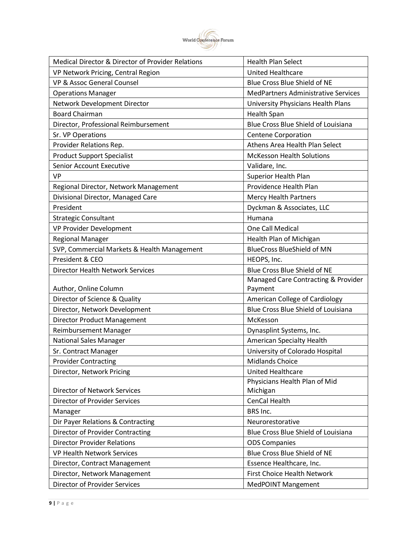

| Medical Director & Director of Provider Relations | <b>Health Plan Select</b>                  |
|---------------------------------------------------|--------------------------------------------|
| VP Network Pricing, Central Region                | <b>United Healthcare</b>                   |
| VP & Assoc General Counsel                        | <b>Blue Cross Blue Shield of NE</b>        |
| <b>Operations Manager</b>                         | <b>MedPartners Administrative Services</b> |
| Network Development Director                      | University Physicians Health Plans         |
| <b>Board Chairman</b>                             | <b>Health Span</b>                         |
| Director, Professional Reimbursement              | Blue Cross Blue Shield of Louisiana        |
| Sr. VP Operations                                 | <b>Centene Corporation</b>                 |
| Provider Relations Rep.                           | Athens Area Health Plan Select             |
| <b>Product Support Specialist</b>                 | <b>McKesson Health Solutions</b>           |
| Senior Account Executive                          | Validare, Inc.                             |
| <b>VP</b>                                         | Superior Health Plan                       |
| Regional Director, Network Management             | Providence Health Plan                     |
| Divisional Director, Managed Care                 | <b>Mercy Health Partners</b>               |
| President                                         | Dyckman & Associates, LLC                  |
| <b>Strategic Consultant</b>                       | Humana                                     |
| VP Provider Development                           | One Call Medical                           |
| <b>Regional Manager</b>                           | Health Plan of Michigan                    |
| SVP, Commercial Markets & Health Management       | <b>BlueCross BlueShield of MN</b>          |
| President & CEO                                   | HEOPS, Inc.                                |
| <b>Director Health Network Services</b>           | Blue Cross Blue Shield of NE               |
|                                                   | Managed Care Contracting & Provider        |
| Author, Online Column                             | Payment                                    |
| Director of Science & Quality                     | American College of Cardiology             |
| Director, Network Development                     | Blue Cross Blue Shield of Louisiana        |
| <b>Director Product Management</b>                | McKesson                                   |
| Reimbursement Manager                             | Dynasplint Systems, Inc.                   |
| <b>National Sales Manager</b>                     | American Specialty Health                  |
| Sr. Contract Manager                              | University of Colorado Hospital            |
| <b>Provider Contracting</b>                       | <b>Midlands Choice</b>                     |
| Director, Network Pricing                         | <b>United Healthcare</b>                   |
|                                                   | Physicians Health Plan of Mid              |
| <b>Director of Network Services</b>               | Michigan                                   |
| <b>Director of Provider Services</b>              | CenCal Health                              |
| Manager                                           | BRS Inc.                                   |
| Dir Payer Relations & Contracting                 | Neurorestorative                           |
| <b>Director of Provider Contracting</b>           | Blue Cross Blue Shield of Louisiana        |
| <b>Director Provider Relations</b>                | <b>ODS Companies</b>                       |
| <b>VP Health Network Services</b>                 | Blue Cross Blue Shield of NE               |
| Director, Contract Management                     | Essence Healthcare, Inc.                   |
| Director, Network Management                      | <b>First Choice Health Network</b>         |
| Director of Provider Services                     | <b>MedPOINT Mangement</b>                  |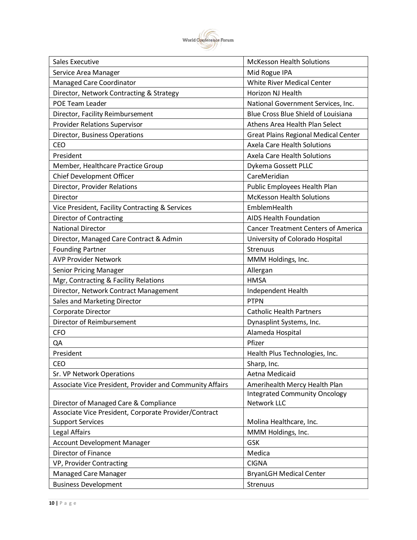

| <b>Sales Executive</b>                                   | <b>McKesson Health Solutions</b>            |
|----------------------------------------------------------|---------------------------------------------|
| Service Area Manager                                     | Mid Rogue IPA                               |
| Managed Care Coordinator                                 | White River Medical Center                  |
| Director, Network Contracting & Strategy                 | Horizon NJ Health                           |
| POE Team Leader                                          | National Government Services, Inc.          |
| Director, Facility Reimbursement                         | Blue Cross Blue Shield of Louisiana         |
| <b>Provider Relations Supervisor</b>                     | Athens Area Health Plan Select              |
| Director, Business Operations                            | <b>Great Plains Regional Medical Center</b> |
| <b>CEO</b>                                               | Axela Care Health Solutions                 |
| President                                                | <b>Axela Care Health Solutions</b>          |
| Member, Healthcare Practice Group                        | Dykema Gossett PLLC                         |
| Chief Development Officer                                | CareMeridian                                |
| Director, Provider Relations                             | Public Employees Health Plan                |
| Director                                                 | <b>McKesson Health Solutions</b>            |
| Vice President, Facility Contracting & Services          | EmblemHealth                                |
| <b>Director of Contracting</b>                           | <b>AIDS Health Foundation</b>               |
| <b>National Director</b>                                 | <b>Cancer Treatment Centers of America</b>  |
| Director, Managed Care Contract & Admin                  | University of Colorado Hospital             |
| <b>Founding Partner</b>                                  | Strenuus                                    |
| <b>AVP Provider Network</b>                              | MMM Holdings, Inc.                          |
| <b>Senior Pricing Manager</b>                            | Allergan                                    |
| Mgr, Contracting & Facility Relations                    | <b>HMSA</b>                                 |
| Director, Network Contract Management                    | Independent Health                          |
| Sales and Marketing Director                             | <b>PTPN</b>                                 |
| Corporate Director                                       | <b>Catholic Health Partners</b>             |
| Director of Reimbursement                                | Dynasplint Systems, Inc.                    |
| <b>CFO</b>                                               | Alameda Hospital                            |
| QA                                                       | Pfizer                                      |
| President                                                | Health Plus Technologies, Inc.              |
| CEO                                                      | Sharp, Inc.                                 |
| Sr. VP Network Operations                                | Aetna Medicaid                              |
| Associate Vice President, Provider and Community Affairs | Amerihealth Mercy Health Plan               |
|                                                          | <b>Integrated Community Oncology</b>        |
| Director of Managed Care & Compliance                    | Network LLC                                 |
| Associate Vice President, Corporate Provider/Contract    |                                             |
| <b>Support Services</b>                                  | Molina Healthcare, Inc.                     |
| Legal Affairs                                            | MMM Holdings, Inc.                          |
| <b>Account Development Manager</b>                       | <b>GSK</b>                                  |
| Director of Finance                                      | Medica                                      |
| VP, Provider Contracting                                 | <b>CIGNA</b>                                |
| Managed Care Manager                                     | <b>BryanLGH Medical Center</b>              |
| <b>Business Development</b>                              | <b>Strenuus</b>                             |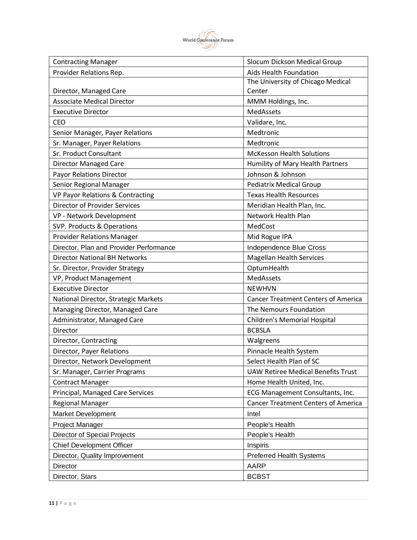

| <b>Contracting Manager</b>              | Slocum Dickson Medical Group               |
|-----------------------------------------|--------------------------------------------|
| Provider Relations Rep.                 | <b>Aids Health Foundation</b>              |
|                                         | The University of Chicago Medical          |
| Director, Managed Care                  | Center                                     |
| <b>Associate Medical Director</b>       | MMM Holdings, Inc.                         |
| <b>Executive Director</b>               | MedAssets                                  |
| CEO                                     | Validare, Inc.                             |
| Senior Manager, Payer Relations         | Medtronic                                  |
| Sr. Manager, Payer Relations            | Medtronic                                  |
| Sr. Product Consultant                  | <b>McKesson Health Solutions</b>           |
| <b>Director Managed Care</b>            | Humility of Mary Health Partners           |
| Payor Relations Director                | Johnson & Johnson                          |
| Senior Regional Manager                 | <b>Pediatrix Medical Group</b>             |
| VP Payor Relations & Contracting        | <b>Texas Health Resources</b>              |
| <b>Director of Provider Services</b>    | Meridian Health Plan, Inc.                 |
| VP - Network Development                | Network Health Plan                        |
| SVP. Products & Operations              | MedCost                                    |
| <b>Provider Relations Manager</b>       | Mid Rogue IPA                              |
| Director, Plan and Provider Performance | Independence Blue Cross                    |
| <b>Director National BH Networks</b>    | <b>Magellan Health Services</b>            |
| Sr. Director, Provider Strategy         | OptumHealth                                |
| VP, Product Management                  | MedAssets                                  |
| <b>Executive Director</b>               | <b>NEWHVN</b>                              |
| National Director, Strategic Markets    | <b>Cancer Treatment Centers of America</b> |
| Managing Director, Managed Care         | The Nemours Foundation                     |
| Administrator, Managed Care             | <b>Children's Memorial Hospital</b>        |
| Director                                | <b>BCBSLA</b>                              |
| Director, Contracting                   | Walgreens                                  |
| Director, Payer Relations               | Pinnacle Health System                     |
| Director, Network Development           | Select Health Plan of SC                   |
| Sr. Manager, Carrier Programs           | <b>UAW Retiree Medical Benefits Trust</b>  |
| <b>Contract Manager</b>                 | Home Health United, Inc.                   |
| Principal, Managed Care Services        | ECG Management Consultants, Inc.           |
| <b>Regional Manager</b>                 | <b>Cancer Treatment Centers of America</b> |
| Market Development                      | Intel                                      |
| Project Manager                         | People's Health                            |
| <b>Director of Special Projects</b>     | People's Health                            |
| <b>Chief Development Officer</b>        | Inspiris                                   |
| Director, Quality Improvement           | <b>Preferred Health Systems</b>            |
| <b>Director</b>                         | <b>AARP</b>                                |
| Director, Stars                         | <b>BCBST</b>                               |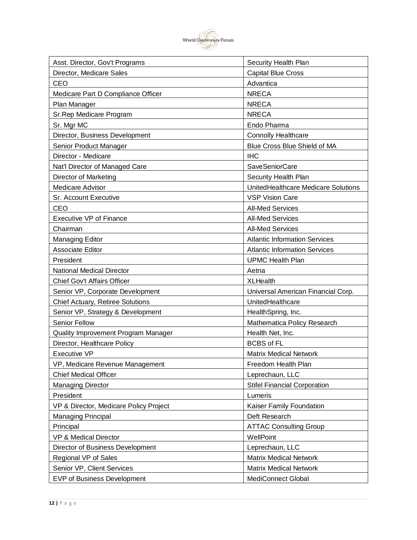

| Asst. Director, Gov't Programs         | Security Health Plan                 |
|----------------------------------------|--------------------------------------|
| Director, Medicare Sales               | <b>Capital Blue Cross</b>            |
| CEO                                    | Advantica                            |
| Medicare Part D Compliance Officer     | <b>NRECA</b>                         |
| Plan Manager                           | <b>NRECA</b>                         |
| Sr.Rep Medicare Program                | <b>NRECA</b>                         |
| Sr. Mgr MC                             | Endo Pharma                          |
| Director, Business Development         | <b>Connolly Healthcare</b>           |
| Senior Product Manager                 | Blue Cross Blue Shield of MA         |
| Director - Medicare                    | <b>IHC</b>                           |
| Nat'l Director of Managed Care         | <b>SaveSeniorCare</b>                |
| <b>Director of Marketing</b>           | Security Health Plan                 |
| <b>Medicare Advisor</b>                | UnitedHealthcare Medicare Solutions  |
| Sr. Account Executive                  | <b>VSP Vision Care</b>               |
| CEO                                    | <b>All-Med Services</b>              |
| <b>Executive VP of Finance</b>         | <b>All-Med Services</b>              |
| Chairman                               | <b>All-Med Services</b>              |
| <b>Managing Editor</b>                 | <b>Atlantic Information Services</b> |
| Associate Editor                       | <b>Atlantic Information Services</b> |
| President                              | <b>UPMC Health Plan</b>              |
| <b>National Medical Director</b>       | Aetna                                |
| <b>Chief Gov't Affairs Officer</b>     | <b>XLHealth</b>                      |
| Senior VP, Corporate Development       | Universal American Financial Corp.   |
| Chief Actuary, Retiree Solutions       | UnitedHealthcare                     |
| Senior VP, Strategy & Development      | HealthSpring, Inc.                   |
| Senior Fellow                          | Mathematica Policy Research          |
| Quality Improvement Program Manager    | Health Net, Inc.                     |
| Director, Healthcare Policy            | <b>BCBS of FL</b>                    |
| <b>Executive VP</b>                    | <b>Matrix Medical Network</b>        |
| VP, Medicare Revenue Management        | Freedom Health Plan                  |
| <b>Chief Medical Officer</b>           | Leprechaun, LLC                      |
| <b>Managing Director</b>               | <b>Stifel Financial Corporation</b>  |
| President                              | Lumeris                              |
| VP & Director, Medicare Policy Project | Kaiser Family Foundation             |
| <b>Managing Principal</b>              | Deft Research                        |
| Principal                              | <b>ATTAC Consulting Group</b>        |
| <b>VP &amp; Medical Director</b>       | WellPoint                            |
| Director of Business Development       | Leprechaun, LLC                      |
| Regional VP of Sales                   | <b>Matrix Medical Network</b>        |
| Senior VP, Client Services             | <b>Matrix Medical Network</b>        |
| EVP of Business Development            | MediConnect Global                   |